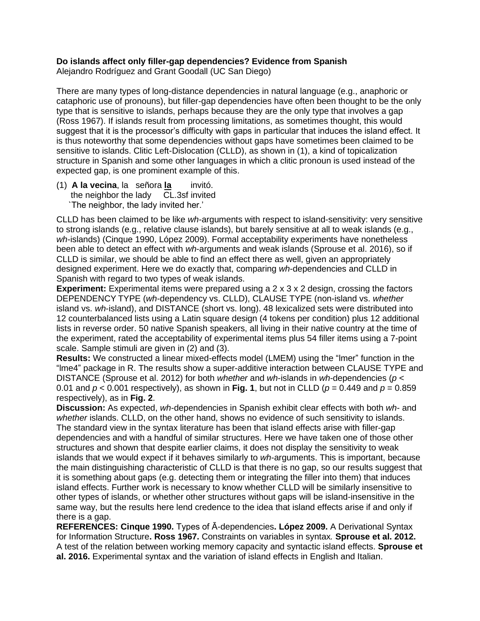## **Do islands affect only filler-gap dependencies? Evidence from Spanish**

Alejandro Rodríguez and Grant Goodall (UC San Diego)

There are many types of long-distance dependencies in natural language (e.g., anaphoric or cataphoric use of pronouns), but filler-gap dependencies have often been thought to be the only type that is sensitive to islands, perhaps because they are the only type that involves a gap (Ross 1967). If islands result from processing limitations, as sometimes thought, this would suggest that it is the processor's difficulty with gaps in particular that induces the island effect. It is thus noteworthy that some dependencies without gaps have sometimes been claimed to be sensitive to islands. Clitic Left-Dislocation (CLLD), as shown in (1), a kind of topicalization structure in Spanish and some other languages in which a clitic pronoun is used instead of the expected gap, is one prominent example of this.

(1) **A la vecina**, la señora **la** invitó. the neighbor the lady CL.3sf invited `The neighbor, the lady invited her.'

CLLD has been claimed to be like *wh*-arguments with respect to island-sensitivity: very sensitive to strong islands (e.g., relative clause islands), but barely sensitive at all to weak islands (e.g., *wh*-islands) (Cinque 1990, López 2009). Formal acceptability experiments have nonetheless been able to detect an effect with *wh*-arguments and weak islands (Sprouse et al. 2016), so if CLLD is similar, we should be able to find an effect there as well, given an appropriately designed experiment. Here we do exactly that, comparing *wh*-dependencies and CLLD in Spanish with regard to two types of weak islands.

**Experiment:** Experimental items were prepared using a 2 x 3 x 2 design, crossing the factors DEPENDENCY TYPE (*wh*-dependency vs. CLLD), CLAUSE TYPE (non-island vs. *whether* island vs. *wh*-island), and DISTANCE (short vs. long). 48 lexicalized sets were distributed into 12 counterbalanced lists using a Latin square design (4 tokens per condition) plus 12 additional lists in reverse order. 50 native Spanish speakers, all living in their native country at the time of the experiment, rated the acceptability of experimental items plus 54 filler items using a 7-point scale. Sample stimuli are given in (2) and (3).

**Results:** We constructed a linear mixed-effects model (LMEM) using the "lmer" function in the "lme4" package in R. The results show a super-additive interaction between CLAUSE TYPE and DISTANCE (Sprouse et al. 2012) for both *whether* and *wh*-islands in *wh*-dependencies (*p* < 0.01 and *p* < 0.001 respectively), as shown in **Fig. 1**, but not in CLLD (*p* = 0.449 and *p* = 0.859 respectively), as in **Fig. 2**.

**Discussion:** As expected, *wh*-dependencies in Spanish exhibit clear effects with both *wh*- and *whether* islands. CLLD, on the other hand, shows no evidence of such sensitivity to islands. The standard view in the syntax literature has been that island effects arise with filler-gap dependencies and with a handful of similar structures. Here we have taken one of those other structures and shown that despite earlier claims, it does not display the sensitivity to weak islands that we would expect if it behaves similarly to *wh*-arguments. This is important, because the main distinguishing characteristic of CLLD is that there is no gap, so our results suggest that it is something about gaps (e.g. detecting them or integrating the filler into them) that induces island effects. Further work is necessary to know whether CLLD will be similarly insensitive to other types of islands, or whether other structures without gaps will be island-insensitive in the same way, but the results here lend credence to the idea that island effects arise if and only if there is a gap.

**REFERENCES: Cinque 1990.** Types of Ā-dependencies**. López 2009.** A Derivational Syntax for Information Structure**. Ross 1967.** Constraints on variables in syntax*.* **Sprouse et al. 2012.**  A test of the relation between working memory capacity and syntactic island effects. **Sprouse et al. 2016.** Experimental syntax and the variation of island effects in English and Italian.